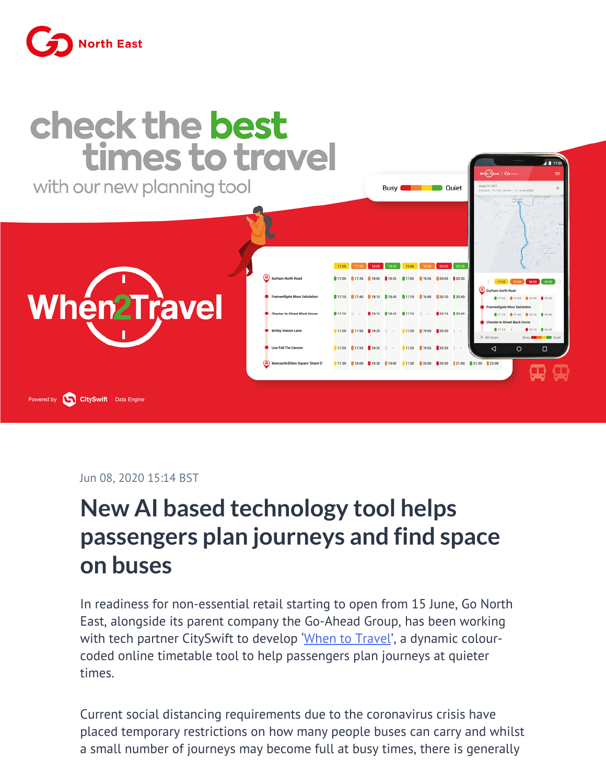



Jun 08, 2020 15:14 BST

## **New AI based technology tool helps passengers plan journeys and find space on buses**

In readiness for non-essential retail starting to open from 15 June, Go North East, alongside its parent company the Go-Ahead Group, has been working with tech partner CitySwift to develop ['When to Travel](https://www.gonortheast.co.uk/when-to-travel)', a dynamic colourcoded online timetable tool to help passengers plan journeys at quieter times.

Current social distancing requirements due to the coronavirus crisis have placed temporary restrictions on how many people buses can carry and whilst a small number of journeys may become full at busy times, there is generally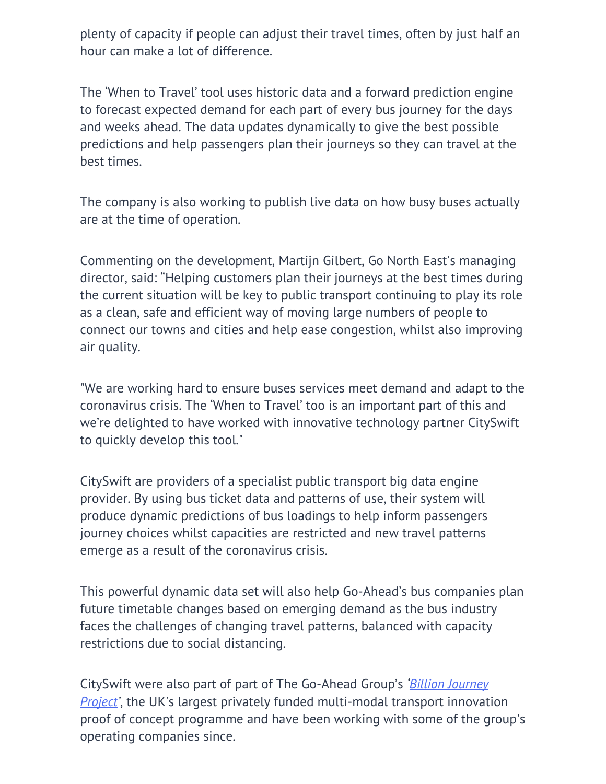plenty of capacity if people can adjust their travel times, often by just half an hour can make a lot of difference.

The 'When to Travel' tool uses historic data and a forward prediction engine to forecast expected demand for each part of every bus journey for the days and weeks ahead. The data updates dynamically to give the best possible predictions and help passengers plan their journeys so they can travel at the best times.

The company is also working to publish live data on how busy buses actually are at the time of operation.

Commenting on the development, Martijn Gilbert, Go North East's managing director, said: "Helping customers plan their journeys at the best times during the current situation will be key to public transport continuing to play its role as a clean, safe and efficient way of moving large numbers of people to connect our towns and cities and help ease congestion, whilst also improving air quality.

"We are working hard to ensure buses services meet demand and adapt to the coronavirus crisis. The 'When to Travel' too is an important part of this and we're delighted to have worked with innovative technology partner CitySwift to quickly develop this tool."

CitySwift are providers of a specialist public transport big data engine provider. By using bus ticket data and patterns of use, their system will produce dynamic predictions of bus loadings to help inform passengers journey choices whilst capacities are restricted and new travel patterns emerge as a result of the coronavirus crisis.

This powerful dynamic data set will also help Go-Ahead's bus companies plan future timetable changes based on emerging demand as the bus industry faces the challenges of changing travel patterns, balanced with capacity restrictions due to social distancing.

CitySwift were also part of part of The Go-Ahead Group's *'[Billion Journey](https://billionjourneyproject.com/) [Project'](https://billionjourneyproject.com/)*, the UK's largest privately funded multi-modal transport innovation proof of concept programme and have been working with some of the group's operating companies since.